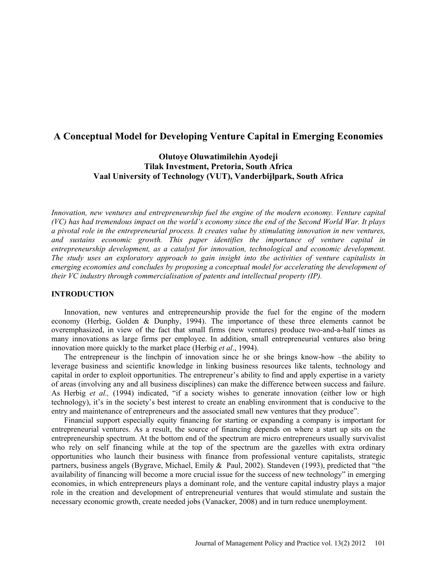# **A Conceptual Model for Developing Venture Capital in Emerging Economies**

**Olutoye Oluwatimilehin Ayodeji Tilak Investment, Pretoria, South Africa Vaal University of Technology (VUT), Vanderbijlpark, South Africa**

*Innovation, new ventures and entrepreneurship fuel the engine of the modern economy. Venture capital (VC) has had tremendous impact on the world's economy since the end of the Second World War. It plays a pivotal role in the entrepreneurial process. It creates value by stimulating innovation in new ventures, and sustains economic growth. This paper identifies the importance of venture capital in entrepreneurship development, as a catalyst for innovation, technological and economic development. The study uses an exploratory approach to gain insight into the activities of venture capitalists in emerging economies and concludes by proposing a conceptual model for accelerating the development of their VC industry through commercialisation of patents and intellectual property (IP).* 

# **INTRODUCTION**

Innovation, new ventures and entrepreneurship provide the fuel for the engine of the modern economy (Herbig, Golden & Dunphy, 1994). The importance of these three elements cannot be overemphasized, in view of the fact that small firms (new ventures) produce two-and-a-half times as many innovations as large firms per employee. In addition, small entrepreneurial ventures also bring innovation more quickly to the market place (Herbig *et al*., 1994).

The entrepreneur is the linchpin of innovation since he or she brings know-how –the ability to leverage business and scientific knowledge in linking business resources like talents, technology and capital in order to exploit opportunities. The entrepreneur's ability to find and apply expertise in a variety of areas (involving any and all business disciplines) can make the difference between success and failure. As Herbig *et al.,* (1994) indicated, "if a society wishes to generate innovation (either low or high technology), it's in the society's best interest to create an enabling environment that is conducive to the entry and maintenance of entrepreneurs and the associated small new ventures that they produce".

Financial support especially equity financing for starting or expanding a company is important for entrepreneurial ventures. As a result, the source of financing depends on where a start up sits on the entrepreneurship spectrum. At the bottom end of the spectrum are micro entrepreneurs usually survivalist who rely on self financing while at the top of the spectrum are the gazelles with extra ordinary opportunities who launch their business with finance from professional venture capitalists, strategic partners, business angels (Bygrave, Michael, Emily & Paul, 2002). Standeven (1993), predicted that "the availability of financing will become a more crucial issue for the success of new technology" in emerging economies, in which entrepreneurs plays a dominant role, and the venture capital industry plays a major role in the creation and development of entrepreneurial ventures that would stimulate and sustain the necessary economic growth, create needed jobs (Vanacker, 2008) and in turn reduce unemployment.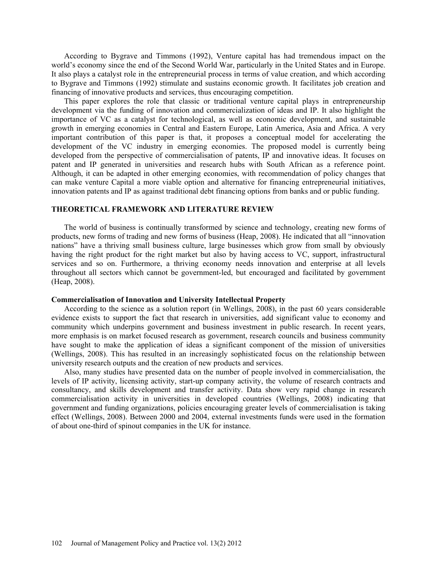According to Bygrave and Timmons (1992), Venture capital has had tremendous impact on the world's economy since the end of the Second World War, particularly in the United States and in Europe. It also plays a catalyst role in the entrepreneurial process in terms of value creation, and which according to Bygrave and Timmons (1992) stimulate and sustains economic growth. It facilitates job creation and financing of innovative products and services, thus encouraging competition.

This paper explores the role that classic or traditional venture capital plays in entrepreneurship development via the funding of innovation and commercialization of ideas and IP. It also highlight the importance of VC as a catalyst for technological, as well as economic development, and sustainable growth in emerging economies in Central and Eastern Europe, Latin America, Asia and Africa. A very important contribution of this paper is that, it proposes a conceptual model for accelerating the development of the VC industry in emerging economies. The proposed model is currently being developed from the perspective of commercialisation of patents, IP and innovative ideas. It focuses on patent and IP generated in universities and research hubs with South African as a reference point. Although, it can be adapted in other emerging economies, with recommendation of policy changes that can make venture Capital a more viable option and alternative for financing entrepreneurial initiatives, innovation patents and IP as against traditional debt financing options from banks and or public funding.

# **THEORETICAL FRAMEWORK AND LITERATURE REVIEW**

The world of business is continually transformed by science and technology, creating new forms of products, new forms of trading and new forms of business (Heap, 2008). He indicated that all "innovation nations" have a thriving small business culture, large businesses which grow from small by obviously having the right product for the right market but also by having access to VC, support, infrastructural services and so on. Furthermore, a thriving economy needs innovation and enterprise at all levels throughout all sectors which cannot be government-led, but encouraged and facilitated by government (Heap, 2008).

### **Commercialisation of Innovation and University Intellectual Property**

According to the science as a solution report (in Wellings, 2008), in the past 60 years considerable evidence exists to support the fact that research in universities, add significant value to economy and community which underpins government and business investment in public research. In recent years, more emphasis is on market focused research as government, research councils and business community have sought to make the application of ideas a significant component of the mission of universities (Wellings, 2008). This has resulted in an increasingly sophisticated focus on the relationship between university research outputs and the creation of new products and services.

Also, many studies have presented data on the number of people involved in commercialisation, the levels of IP activity, licensing activity, start-up company activity, the volume of research contracts and consultancy, and skills development and transfer activity. Data show very rapid change in research commercialisation activity in universities in developed countries (Wellings, 2008) indicating that government and funding organizations, policies encouraging greater levels of commercialisation is taking effect (Wellings, 2008). Between 2000 and 2004, external investments funds were used in the formation of about one-third of spinout companies in the UK for instance.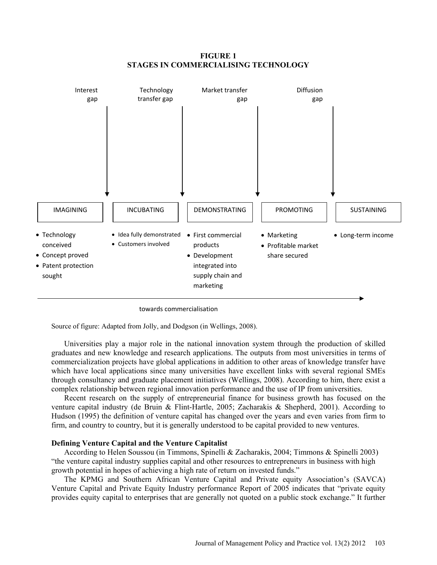**FIGURE 1 STAGES IN COMMERCIALISING TECHNOLOGY**



towards commercialisation

Source of figure: Adapted from Jolly, and Dodgson (in Wellings, 2008).

Universities play a major role in the national innovation system through the production of skilled graduates and new knowledge and research applications. The outputs from most universities in terms of commercialization projects have global applications in addition to other areas of knowledge transfer have which have local applications since many universities have excellent links with several regional SMEs through consultancy and graduate placement initiatives (Wellings, 2008). According to him, there exist a complex relationship between regional innovation performance and the use of IP from universities.

Recent research on the supply of entrepreneurial finance for business growth has focused on the venture capital industry (de Bruin & Flint-Hartle, 2005; Zacharakis & Shepherd, 2001). According to Hudson (1995) the definition of venture capital has changed over the years and even varies from firm to firm, and country to country, but it is generally understood to be capital provided to new ventures.

# **Defining Venture Capital and the Venture Capitalist**

According to Helen Soussou (in Timmons, Spinelli & Zacharakis, 2004; Timmons & Spinelli 2003) "the venture capital industry supplies capital and other resources to entrepreneurs in business with high growth potential in hopes of achieving a high rate of return on invested funds."

The KPMG and Southern African Venture Capital and Private equity Association's (SAVCA) Venture Capital and Private Equity Industry performance Report of 2005 indicates that "private equity provides equity capital to enterprises that are generally not quoted on a public stock exchange." It further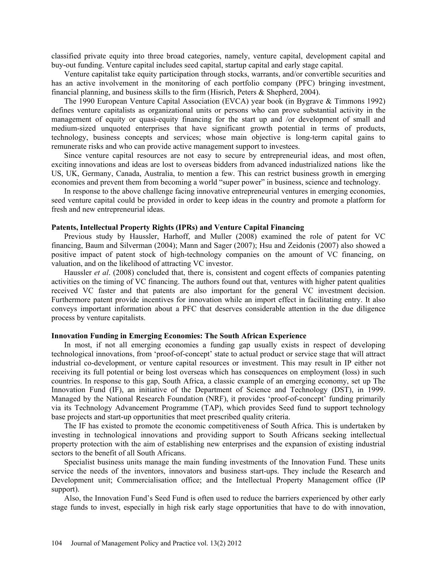classified private equity into three broad categories, namely, venture capital, development capital and buy-out funding. Venture capital includes seed capital, startup capital and early stage capital.

Venture capitalist take equity participation through stocks, warrants, and/or convertible securities and has an active involvement in the monitoring of each portfolio company (PFC) bringing investment, financial planning, and business skills to the firm (Hisrich, Peters  $\&$  Shepherd, 2004).

The 1990 European Venture Capital Association (EVCA) year book (in Bygrave & Timmons 1992) defines venture capitalists as organizational units or persons who can prove substantial activity in the management of equity or quasi-equity financing for the start up and /or development of small and medium-sized unquoted enterprises that have significant growth potential in terms of products, technology, business concepts and services; whose main objective is long-term capital gains to remunerate risks and who can provide active management support to investees.

Since venture capital resources are not easy to secure by entrepreneurial ideas, and most often, exciting innovations and ideas are lost to overseas bidders from advanced industrialized nations like the US, UK, Germany, Canada, Australia, to mention a few. This can restrict business growth in emerging economies and prevent them from becoming a world "super power" in business, science and technology.

In response to the above challenge facing innovative entrepreneurial ventures in emerging economies, seed venture capital could be provided in order to keep ideas in the country and promote a platform for fresh and new entrepreneurial ideas.

# **Patents, Intellectual Property Rights (IPRs) and Venture Capital Financing**

Previous study by Haussler, Harhoff, and Muller (2008) examined the role of patent for VC financing, Baum and Silverman (2004); Mann and Sager (2007); Hsu and Zeidonis (2007) also showed a positive impact of patent stock of high-technology companies on the amount of VC financing, on valuation, and on the likelihood of attracting VC investor.

Haussler *et al*. (2008) concluded that, there is, consistent and cogent effects of companies patenting activities on the timing of VC financing. The authors found out that, ventures with higher patent qualities received VC faster and that patents are also important for the general VC investment decision. Furthermore patent provide incentives for innovation while an import effect in facilitating entry. It also conveys important information about a PFC that deserves considerable attention in the due diligence process by venture capitalists.

## **Innovation Funding in Emerging Economies: The South African Experience**

In most, if not all emerging economies a funding gap usually exists in respect of developing technological innovations, from 'proof-of-concept' state to actual product or service stage that will attract industrial co-development, or venture capital resources or investment. This may result in IP either not receiving its full potential or being lost overseas which has consequences on employment (loss) in such countries. In response to this gap, South Africa, a classic example of an emerging economy, set up The Innovation Fund (IF), an initiative of the Department of Science and Technology (DST), in 1999. Managed by the National Research Foundation (NRF), it provides 'proof-of-concept' funding primarily via its Technology Advancement Programme (TAP), which provides Seed fund to support technology base projects and start-up opportunities that meet prescribed quality criteria.

The IF has existed to promote the economic competitiveness of South Africa. This is undertaken by investing in technological innovations and providing support to South Africans seeking intellectual property protection with the aim of establishing new enterprises and the expansion of existing industrial sectors to the benefit of all South Africans.

Specialist business units manage the main funding investments of the Innovation Fund. These units service the needs of the inventors, innovators and business start-ups. They include the Research and Development unit; Commercialisation office; and the Intellectual Property Management office (IP support).

Also, the Innovation Fund's Seed Fund is often used to reduce the barriers experienced by other early stage funds to invest, especially in high risk early stage opportunities that have to do with innovation,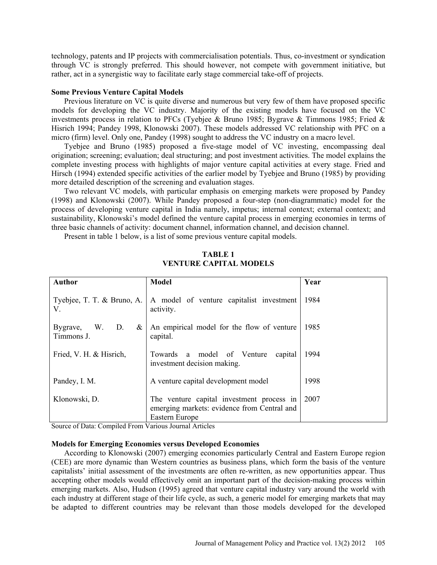technology, patents and IP projects with commercialisation potentials. Thus, co-investment or syndication through VC is strongly preferred. This should however, not compete with government initiative, but rather, act in a synergistic way to facilitate early stage commercial take-off of projects.

## **Some Previous Venture Capital Models**

Previous literature on VC is quite diverse and numerous but very few of them have proposed specific models for developing the VC industry. Majority of the existing models have focused on the VC investments process in relation to PFCs (Tyebjee & Bruno 1985; Bygrave & Timmons 1985; Fried & Hisrich 1994; Pandey 1998, Klonowski 2007). These models addressed VC relationship with PFC on a micro (firm) level. Only one, Pandey (1998) sought to address the VC industry on a macro level.

Tyebjee and Bruno (1985) proposed a five-stage model of VC investing, encompassing deal origination; screening; evaluation; deal structuring; and post investment activities. The model explains the complete investing process with highlights of major venture capital activities at every stage. Fried and Hirsch (1994) extended specific activities of the earlier model by Tyebjee and Bruno (1985) by providing more detailed description of the screening and evaluation stages.

Two relevant VC models, with particular emphasis on emerging markets were proposed by Pandey (1998) and Klonowski (2007). While Pandey proposed a four-step (non-diagrammatic) model for the process of developing venture capital in India namely, impetus; internal context; external context; and sustainability, Klonowski's model defined the venture capital process in emerging economies in terms of three basic channels of activity: document channel, information channel, and decision channel.

Present in table 1 below, is a list of some previous venture capital models.

| <b>Author</b>                           | <b>Model</b>                                                                                               | Year |
|-----------------------------------------|------------------------------------------------------------------------------------------------------------|------|
| Tyebjee, T. T. & Bruno, A.<br>V.        | A model of venture capitalist investment<br>activity.                                                      | 1984 |
| W.<br>D.<br>Bygrave,<br>&<br>Timmons J. | An empirical model for the flow of venture<br>capital.                                                     | 1985 |
| Fried, V. H. & Hisrich,                 | Towards<br>a model of Venture<br>capital<br>investment decision making.                                    | 1994 |
| Pandey, I. M.                           | A venture capital development model                                                                        | 1998 |
| Klonowski, D.                           | The venture capital investment process in<br>emerging markets: evidence from Central and<br>Eastern Europe | 2007 |

**TABLE 1 VENTURE CAPITAL MODELS**

Source of Data: Compiled From Various Journal Articles

### **Models for Emerging Economies versus Developed Economies**

According to Klonowski (2007) emerging economies particularly Central and Eastern Europe region (CEE) are more dynamic than Western countries as business plans, which form the basis of the venture capitalists' initial assessment of the investments are often re-written, as new opportunities appear. Thus accepting other models would effectively omit an important part of the decision-making process within emerging markets. Also, Hudson (1995) agreed that venture capital industry vary around the world with each industry at different stage of their life cycle, as such, a generic model for emerging markets that may be adapted to different countries may be relevant than those models developed for the developed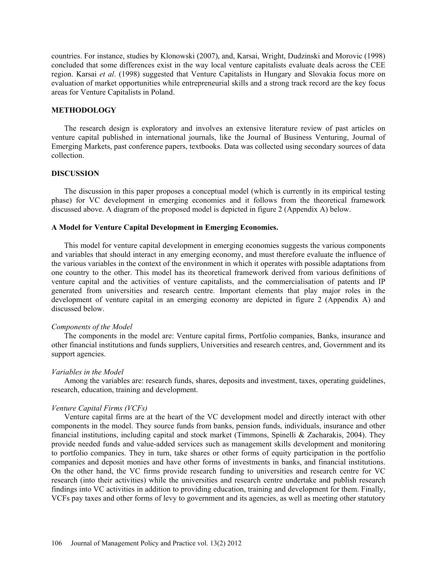countries. For instance, studies by Klonowski (2007), and, Karsai, Wright, Dudzinski and Morovic (1998) concluded that some differences exist in the way local venture capitalists evaluate deals across the CEE region. Karsai *et al*. (1998) suggested that Venture Capitalists in Hungary and Slovakia focus more on evaluation of market opportunities while entrepreneurial skills and a strong track record are the key focus areas for Venture Capitalists in Poland.

# **METHODOLOGY**

The research design is exploratory and involves an extensive literature review of past articles on venture capital published in international journals, like the Journal of Business Venturing, Journal of Emerging Markets, past conference papers, textbooks. Data was collected using secondary sources of data collection.

### **DISCUSSION**

The discussion in this paper proposes a conceptual model (which is currently in its empirical testing phase) for VC development in emerging economies and it follows from the theoretical framework discussed above. A diagram of the proposed model is depicted in figure 2 (Appendix A) below.

# **A Model for Venture Capital Development in Emerging Economies.**

This model for venture capital development in emerging economies suggests the various components and variables that should interact in any emerging economy, and must therefore evaluate the influence of the various variables in the context of the environment in which it operates with possible adaptations from one country to the other. This model has its theoretical framework derived from various definitions of venture capital and the activities of venture capitalists, and the commercialisation of patents and IP generated from universities and research centre. Important elements that play major roles in the development of venture capital in an emerging economy are depicted in figure 2 (Appendix A) and discussed below.

#### *Components of the Model*

The components in the model are: Venture capital firms, Portfolio companies, Banks, insurance and other financial institutions and funds suppliers, Universities and research centres, and, Government and its support agencies.

#### *Variables in the Model*

Among the variables are: research funds, shares, deposits and investment, taxes, operating guidelines, research, education, training and development.

## *Venture Capital Firms (VCFs)*

Venture capital firms are at the heart of the VC development model and directly interact with other components in the model. They source funds from banks, pension funds, individuals, insurance and other financial institutions, including capital and stock market (Timmons, Spinelli & Zacharakis, 2004). They provide needed funds and value-added services such as management skills development and monitoring to portfolio companies. They in turn, take shares or other forms of equity participation in the portfolio companies and deposit monies and have other forms of investments in banks, and financial institutions. On the other hand, the VC firms provide research funding to universities and research centre for VC research (into their activities) while the universities and research centre undertake and publish research findings into VC activities in addition to providing education, training and development for them. Finally, VCFs pay taxes and other forms of levy to government and its agencies, as well as meeting other statutory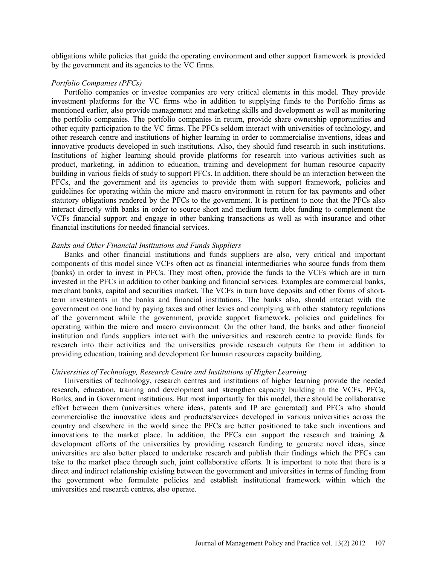obligations while policies that guide the operating environment and other support framework is provided by the government and its agencies to the VC firms.

## *Portfolio Companies (PFCs)*

Portfolio companies or investee companies are very critical elements in this model. They provide investment platforms for the VC firms who in addition to supplying funds to the Portfolio firms as mentioned earlier, also provide management and marketing skills and development as well as monitoring the portfolio companies. The portfolio companies in return, provide share ownership opportunities and other equity participation to the VC firms. The PFCs seldom interact with universities of technology, and other research centre and institutions of higher learning in order to commercialise inventions, ideas and innovative products developed in such institutions. Also, they should fund research in such institutions. Institutions of higher learning should provide platforms for research into various activities such as product, marketing, in addition to education, training and development for human resource capacity building in various fields of study to support PFCs. In addition, there should be an interaction between the PFCs, and the government and its agencies to provide them with support framework, policies and guidelines for operating within the micro and macro environment in return for tax payments and other statutory obligations rendered by the PFCs to the government. It is pertinent to note that the PFCs also interact directly with banks in order to source short and medium term debt funding to complement the VCFs financial support and engage in other banking transactions as well as with insurance and other financial institutions for needed financial services.

#### *Banks and Other Financial Institutions and Funds Suppliers*

Banks and other financial institutions and funds suppliers are also, very critical and important components of this model since VCFs often act as financial intermediaries who source funds from them (banks) in order to invest in PFCs. They most often, provide the funds to the VCFs which are in turn invested in the PFCs in addition to other banking and financial services. Examples are commercial banks, merchant banks, capital and securities market. The VCFs in turn have deposits and other forms of shortterm investments in the banks and financial institutions. The banks also, should interact with the government on one hand by paying taxes and other levies and complying with other statutory regulations of the government while the government, provide support framework, policies and guidelines for operating within the micro and macro environment. On the other hand, the banks and other financial institution and funds suppliers interact with the universities and research centre to provide funds for research into their activities and the universities provide research outputs for them in addition to providing education, training and development for human resources capacity building.

#### *Universities of Technology, Research Centre and Institutions of Higher Learning*

Universities of technology, research centres and institutions of higher learning provide the needed research, education, training and development and strengthen capacity building in the VCFs, PFCs, Banks, and in Government institutions. But most importantly for this model, there should be collaborative effort between them (universities where ideas, patents and IP are generated) and PFCs who should commercialise the innovative ideas and products/services developed in various universities across the country and elsewhere in the world since the PFCs are better positioned to take such inventions and innovations to the market place. In addition, the PFCs can support the research and training  $\&$ development efforts of the universities by providing research funding to generate novel ideas, since universities are also better placed to undertake research and publish their findings which the PFCs can take to the market place through such, joint collaborative efforts. It is important to note that there is a direct and indirect relationship existing between the government and universities in terms of funding from the government who formulate policies and establish institutional framework within which the universities and research centres, also operate.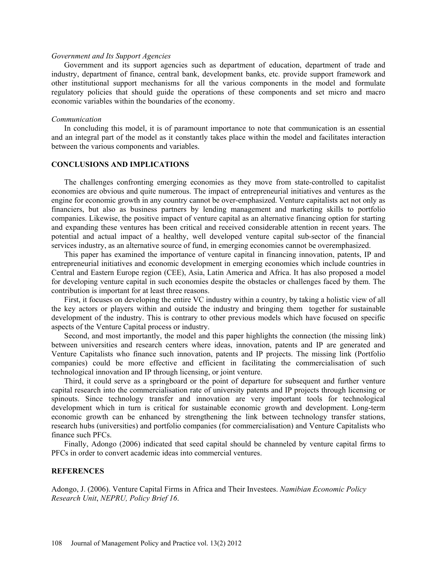### *Government and Its Support Agencies*

Government and its support agencies such as department of education, department of trade and industry, department of finance, central bank, development banks, etc. provide support framework and other institutional support mechanisms for all the various components in the model and formulate regulatory policies that should guide the operations of these components and set micro and macro economic variables within the boundaries of the economy.

#### *Communication*

In concluding this model, it is of paramount importance to note that communication is an essential and an integral part of the model as it constantly takes place within the model and facilitates interaction between the various components and variables.

# **CONCLUSIONS AND IMPLICATIONS**

The challenges confronting emerging economies as they move from state-controlled to capitalist economies are obvious and quite numerous. The impact of entrepreneurial initiatives and ventures as the engine for economic growth in any country cannot be over-emphasized. Venture capitalists act not only as financiers, but also as business partners by lending management and marketing skills to portfolio companies. Likewise, the positive impact of venture capital as an alternative financing option for starting and expanding these ventures has been critical and received considerable attention in recent years. The potential and actual impact of a healthy, well developed venture capital sub-sector of the financial services industry, as an alternative source of fund, in emerging economies cannot be overemphasized.

This paper has examined the importance of venture capital in financing innovation, patents, IP and entrepreneurial initiatives and economic development in emerging economies which include countries in Central and Eastern Europe region (CEE), Asia, Latin America and Africa. It has also proposed a model for developing venture capital in such economies despite the obstacles or challenges faced by them. The contribution is important for at least three reasons.

First, it focuses on developing the entire VC industry within a country, by taking a holistic view of all the key actors or players within and outside the industry and bringing them together for sustainable development of the industry. This is contrary to other previous models which have focused on specific aspects of the Venture Capital process or industry.

Second, and most importantly, the model and this paper highlights the connection (the missing link) between universities and research centers where ideas, innovation, patents and IP are generated and Venture Capitalists who finance such innovation, patents and IP projects. The missing link (Portfolio companies) could be more effective and efficient in facilitating the commercialisation of such technological innovation and IP through licensing, or joint venture.

Third, it could serve as a springboard or the point of departure for subsequent and further venture capital research into the commercialisation rate of university patents and IP projects through licensing or spinouts. Since technology transfer and innovation are very important tools for technological development which in turn is critical for sustainable economic growth and development. Long-term economic growth can be enhanced by strengthening the link between technology transfer stations, research hubs (universities) and portfolio companies (for commercialisation) and Venture Capitalists who finance such PFCs.

Finally, Adongo (2006) indicated that seed capital should be channeled by venture capital firms to PFCs in order to convert academic ideas into commercial ventures.

# **REFERENCES**

Adongo, J. (2006). Venture Capital Firms in Africa and Their Investees. *Namibian Economic Policy Research Unit*, *NEPRU, Policy Brief 16*.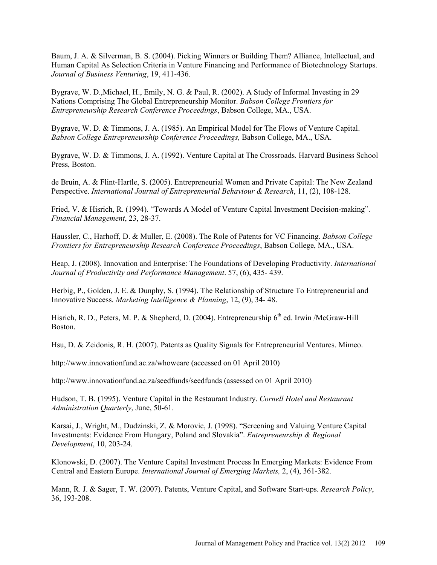Baum, J. A. & Silverman, B. S. (2004). Picking Winners or Building Them? Alliance, Intellectual, and Human Capital As Selection Criteria in Venture Financing and Performance of Biotechnology Startups. *Journal of Business Venturing*, 19, 411-436.

Bygrave, W. D.,Michael, H., Emily, N. G. & Paul, R. (2002). A Study of Informal Investing in 29 Nations Comprising The Global Entrepreneurship Monitor. *Babson College Frontiers for Entrepreneurship Research Conference Proceedings*, Babson College, MA., USA.

Bygrave, W. D. & Timmons, J. A. (1985). An Empirical Model for The Flows of Venture Capital. *Babson College Entrepreneurship Conference Proceedings,* Babson College, MA., USA.

Bygrave, W. D. & Timmons, J. A. (1992). Venture Capital at The Crossroads. Harvard Business School Press, Boston.

de Bruin, A. & Flint-Hartle, S. (2005). Entrepreneurial Women and Private Capital: The New Zealand Perspective. *International Journal of Entrepreneurial Behaviour & Research*, 11, (2), 108-128.

Fried, V. & Hisrich, R. (1994). "Towards A Model of Venture Capital Investment Decision-making". *Financial Management*, 23, 28-37.

Haussler, C., Harhoff, D. & Muller, E. (2008). The Role of Patents for VC Financing. *Babson College Frontiers for Entrepreneurship Research Conference Proceedings*, Babson College, MA., USA.

Heap, J. (2008). Innovation and Enterprise: The Foundations of Developing Productivity. *International Journal of Productivity and Performance Management*. 57, (6), 435- 439.

Herbig, P., Golden, J. E. & Dunphy, S. (1994). The Relationship of Structure To Entrepreneurial and Innovative Success. *Marketing Intelligence & Planning*, 12, (9), 34- 48.

Hisrich, R. D., Peters, M. P. & Shepherd, D. (2004). Entrepreneurship  $6<sup>th</sup>$  ed. Irwin /McGraw-Hill Boston.

Hsu, D. & Zeidonis, R. H. (2007). Patents as Quality Signals for Entrepreneurial Ventures. Mimeo.

http://www.innovationfund.ac.za/whoweare (accessed on 01 April 2010)

http://www.innovationfund.ac.za/seedfunds/seedfunds (assessed on 01 April 2010)

Hudson, T. B. (1995). Venture Capital in the Restaurant Industry. *Cornell Hotel and Restaurant Administration Quarterly*, June, 50-61.

Karsai, J., Wright, M., Dudzinski, Z. & Morovic, J. (1998). "Screening and Valuing Venture Capital Investments: Evidence From Hungary, Poland and Slovakia". *Entrepreneurship & Regional Development*, 10, 203-24.

Klonowski, D. (2007). The Venture Capital Investment Process In Emerging Markets: Evidence From Central and Eastern Europe. *International Journal of Emerging Markets,* 2, (4), 361-382.

Mann, R. J. & Sager, T. W. (2007). Patents, Venture Capital, and Software Start-ups. *Research Policy*, 36, 193-208.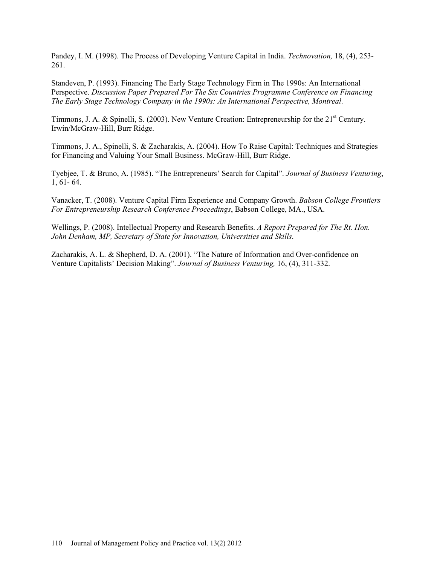Pandey, I. M. (1998). The Process of Developing Venture Capital in India. *Technovation,* 18, (4), 253- 261.

Standeven, P. (1993). Financing The Early Stage Technology Firm in The 1990s: An International Perspective. *Discussion Paper Prepared For The Six Countries Programme Conference on Financing The Early Stage Technology Company in the 1990s: An International Perspective, Montreal*.

Timmons, J. A. & Spinelli, S. (2003). New Venture Creation: Entrepreneurship for the 21<sup>st</sup> Century. Irwin/McGraw-Hill, Burr Ridge.

Timmons, J. A., Spinelli, S. & Zacharakis, A. (2004). How To Raise Capital: Techniques and Strategies for Financing and Valuing Your Small Business. McGraw-Hill, Burr Ridge.

Tyebjee, T. & Bruno, A. (1985). "The Entrepreneurs' Search for Capital". *Journal of Business Venturing*, 1, 61- 64.

Vanacker, T. (2008). Venture Capital Firm Experience and Company Growth. *Babson College Frontiers For Entrepreneurship Research Conference Proceedings*, Babson College, MA., USA.

Wellings, P. (2008). Intellectual Property and Research Benefits. *A Report Prepared for The Rt. Hon. John Denham, MP, Secretary of State for Innovation, Universities and Skills*.

Zacharakis, A. L. & Shepherd, D. A. (2001). "The Nature of Information and Over-confidence on Venture Capitalists' Decision Making". *Journal of Business Venturing,* 16, (4), 311-332.